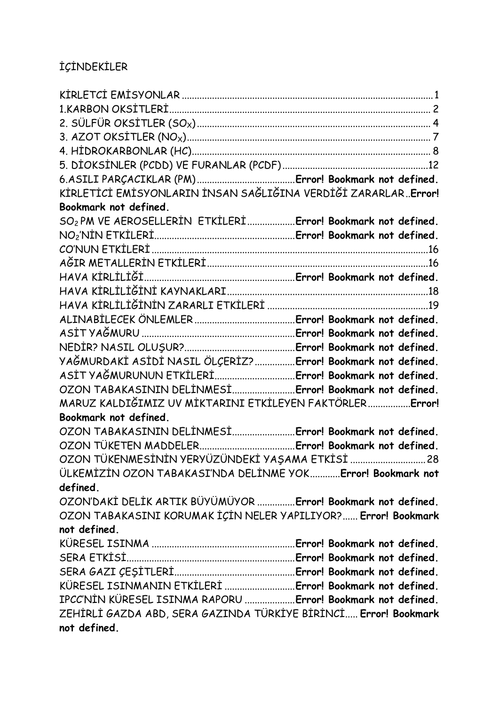## IÇINDEKILER

| Bookmark not defined.                                                   |  |
|-------------------------------------------------------------------------|--|
| SO <sub>2</sub> PM VE AEROSELLERIN ETKILERIError! Bookmark not defined. |  |
|                                                                         |  |
|                                                                         |  |
|                                                                         |  |
|                                                                         |  |
|                                                                         |  |
|                                                                         |  |
|                                                                         |  |
|                                                                         |  |
|                                                                         |  |
| YAĞMURDAKİ ASİDİ NASIL ÖLÇERİZ? Error! Bookmark not defined.            |  |
| ASİT YAĞMURUNUN ETKİLERİError! Bookmark not defined.                    |  |
| OZON TABAKASININ DELİNMESİ Error! Bookmark not defined.                 |  |
| MARUZ KALDIĞIMIZ UV MİKTARINI ETKİLEYEN FAKTÖRLERError!                 |  |
| Bookmark not defined.                                                   |  |
| OZON TABAKASININ DELİNMESİ Error! Bookmark not defined.                 |  |
|                                                                         |  |
| OZON TÜKENMESİNİN YERYÜZÜNDEKİ YAŞAMA ETKİSİ  28                        |  |
| ÜLKEMİZİN OZON TABAKASI'NDA DELİNME YOK Error! Bookmark not             |  |
| defined.                                                                |  |
| OZON'DAKİ DELİK ARTIK BÜYÜMÜYOR Error! Bookmark not defined.            |  |
| OZON TABAKASINI KORUMAK IÇIN NELER YAPILIYOR? Error! Bookmark           |  |
| not defined.                                                            |  |
|                                                                         |  |
|                                                                         |  |
|                                                                         |  |
| KÜRESEL ISINMANIN ETKİLERİ  Error! Bookmark not defined.                |  |
| IPCC'NIN KÜRESEL ISINMA RAPORU Error! Bookmark not defined.             |  |
| ZEHİRLİ GAZDA ABD, SERA GAZINDA TÜRKİYE BİRİNCİ <b>Error! Bookmark</b>  |  |
| not defined.                                                            |  |